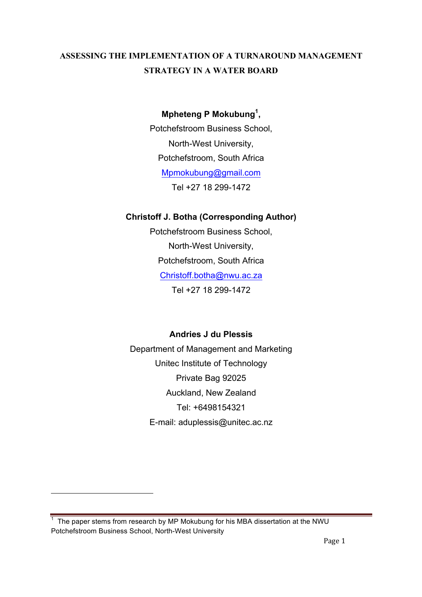# **ASSESSING THE IMPLEMENTATION OF A TURNAROUND MANAGEMENT STRATEGY IN A WATER BOARD**

# **Mpheteng P Mokubung<sup>1</sup> ,**

Potchefstroom Business School, North-West University, Potchefstroom, South Africa Mpmokubung@gmail.com Tel +27 18 299-1472

# **Christoff J. Botha (Corresponding Author)**

Potchefstroom Business School, North-West University, Potchefstroom, South Africa Christoff.botha@nwu.ac.za Tel +27 18 299-1472

# **Andries J du Plessis**

Department of Management and Marketing Unitec Institute of Technology Private Bag 92025 Auckland, New Zealand Tel: +6498154321 E-mail: aduplessis@unitec.ac.nz

<u> 1989 - Jan Samuel Barbara, margaret e</u>

 $1$  The paper stems from research by MP Mokubung for his MBA dissertation at the NWU Potchefstroom Business School, North-West University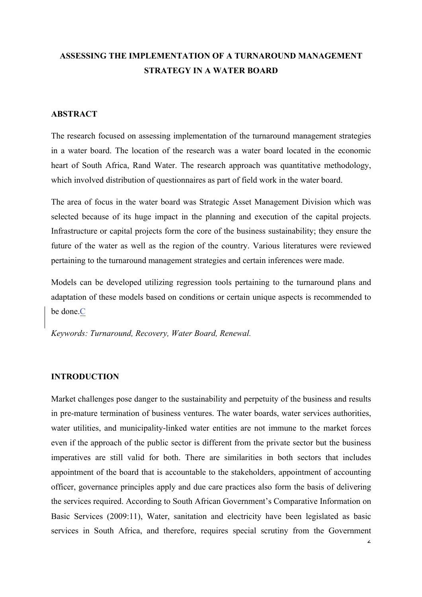# **ASSESSING THE IMPLEMENTATION OF A TURNAROUND MANAGEMENT STRATEGY IN A WATER BOARD**

## **ABSTRACT**

The research focused on assessing implementation of the turnaround management strategies in a water board. The location of the research was a water board located in the economic heart of South Africa, Rand Water. The research approach was quantitative methodology, which involved distribution of questionnaires as part of field work in the water board.

The area of focus in the water board was Strategic Asset Management Division which was selected because of its huge impact in the planning and execution of the capital projects. Infrastructure or capital projects form the core of the business sustainability; they ensure the future of the water as well as the region of the country. Various literatures were reviewed pertaining to the turnaround management strategies and certain inferences were made.

Models can be developed utilizing regression tools pertaining to the turnaround plans and adaptation of these models based on conditions or certain unique aspects is recommended to be done.C

*Keywords: Turnaround, Recovery, Water Board, Renewal.*

## **INTRODUCTION**

Market challenges pose danger to the sustainability and perpetuity of the business and results in pre-mature termination of business ventures. The water boards, water services authorities, water utilities, and municipality-linked water entities are not immune to the market forces even if the approach of the public sector is different from the private sector but the business imperatives are still valid for both. There are similarities in both sectors that includes appointment of the board that is accountable to the stakeholders, appointment of accounting officer, governance principles apply and due care practices also form the basis of delivering the services required. According to South African Government's Comparative Information on Basic Services (2009:11), Water, sanitation and electricity have been legislated as basic services in South Africa, and therefore, requires special scrutiny from the Government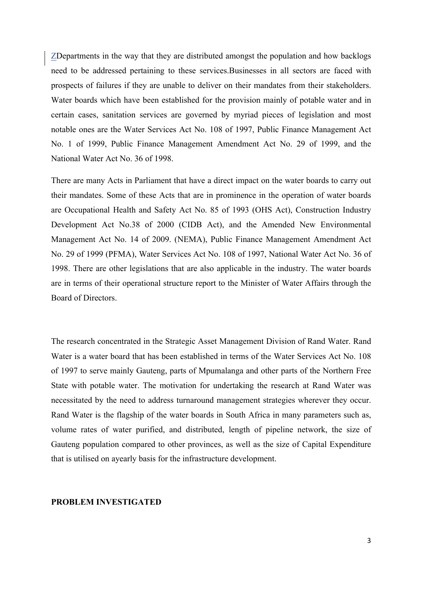ZDepartments in the way that they are distributed amongst the population and how backlogs need to be addressed pertaining to these services.Businesses in all sectors are faced with prospects of failures if they are unable to deliver on their mandates from their stakeholders. Water boards which have been established for the provision mainly of potable water and in certain cases, sanitation services are governed by myriad pieces of legislation and most notable ones are the Water Services Act No. 108 of 1997, Public Finance Management Act No. 1 of 1999, Public Finance Management Amendment Act No. 29 of 1999, and the National Water Act No. 36 of 1998.

There are many Acts in Parliament that have a direct impact on the water boards to carry out their mandates. Some of these Acts that are in prominence in the operation of water boards are Occupational Health and Safety Act No. 85 of 1993 (OHS Act), Construction Industry Development Act No.38 of 2000 (CIDB Act), and the Amended New Environmental Management Act No. 14 of 2009. (NEMA), Public Finance Management Amendment Act No. 29 of 1999 (PFMA), Water Services Act No. 108 of 1997, National Water Act No. 36 of 1998. There are other legislations that are also applicable in the industry. The water boards are in terms of their operational structure report to the Minister of Water Affairs through the Board of Directors.

The research concentrated in the Strategic Asset Management Division of Rand Water. Rand Water is a water board that has been established in terms of the Water Services Act No. 108 of 1997 to serve mainly Gauteng, parts of Mpumalanga and other parts of the Northern Free State with potable water. The motivation for undertaking the research at Rand Water was necessitated by the need to address turnaround management strategies wherever they occur. Rand Water is the flagship of the water boards in South Africa in many parameters such as, volume rates of water purified, and distributed, length of pipeline network, the size of Gauteng population compared to other provinces, as well as the size of Capital Expenditure that is utilised on ayearly basis for the infrastructure development.

## **PROBLEM INVESTIGATED**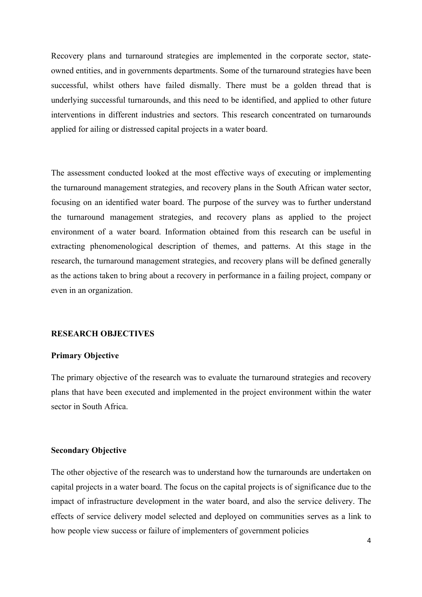Recovery plans and turnaround strategies are implemented in the corporate sector, stateowned entities, and in governments departments. Some of the turnaround strategies have been successful, whilst others have failed dismally. There must be a golden thread that is underlying successful turnarounds, and this need to be identified, and applied to other future interventions in different industries and sectors. This research concentrated on turnarounds applied for ailing or distressed capital projects in a water board.

The assessment conducted looked at the most effective ways of executing or implementing the turnaround management strategies, and recovery plans in the South African water sector, focusing on an identified water board. The purpose of the survey was to further understand the turnaround management strategies, and recovery plans as applied to the project environment of a water board. Information obtained from this research can be useful in extracting phenomenological description of themes, and patterns. At this stage in the research, the turnaround management strategies, and recovery plans will be defined generally as the actions taken to bring about a recovery in performance in a failing project, company or even in an organization.

### **RESEARCH OBJECTIVES**

## **Primary Objective**

The primary objective of the research was to evaluate the turnaround strategies and recovery plans that have been executed and implemented in the project environment within the water sector in South Africa.

#### **Secondary Objective**

The other objective of the research was to understand how the turnarounds are undertaken on capital projects in a water board. The focus on the capital projects is of significance due to the impact of infrastructure development in the water board, and also the service delivery. The effects of service delivery model selected and deployed on communities serves as a link to how people view success or failure of implementers of government policies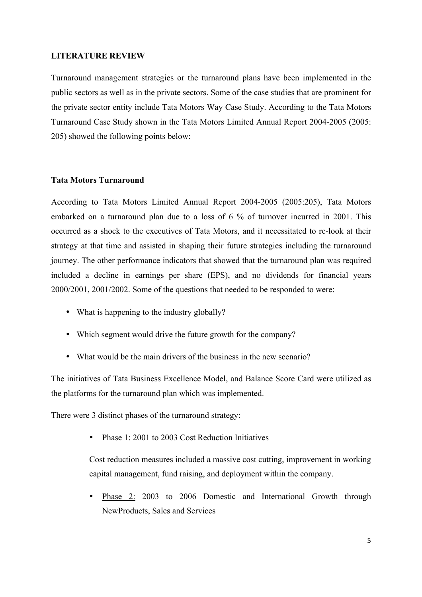#### **LITERATURE REVIEW**

Turnaround management strategies or the turnaround plans have been implemented in the public sectors as well as in the private sectors. Some of the case studies that are prominent for the private sector entity include Tata Motors Way Case Study. According to the Tata Motors Turnaround Case Study shown in the Tata Motors Limited Annual Report 2004-2005 (2005: 205) showed the following points below:

## **Tata Motors Turnaround**

According to Tata Motors Limited Annual Report 2004-2005 (2005:205), Tata Motors embarked on a turnaround plan due to a loss of 6 % of turnover incurred in 2001. This occurred as a shock to the executives of Tata Motors, and it necessitated to re-look at their strategy at that time and assisted in shaping their future strategies including the turnaround journey. The other performance indicators that showed that the turnaround plan was required included a decline in earnings per share (EPS), and no dividends for financial years 2000/2001, 2001/2002. Some of the questions that needed to be responded to were:

- What is happening to the industry globally?
- Which segment would drive the future growth for the company?
- What would be the main drivers of the business in the new scenario?

The initiatives of Tata Business Excellence Model, and Balance Score Card were utilized as the platforms for the turnaround plan which was implemented.

There were 3 distinct phases of the turnaround strategy:

Phase 1: 2001 to 2003 Cost Reduction Initiatives

Cost reduction measures included a massive cost cutting, improvement in working capital management, fund raising, and deployment within the company.

• Phase 2: 2003 to 2006 Domestic and International Growth through NewProducts, Sales and Services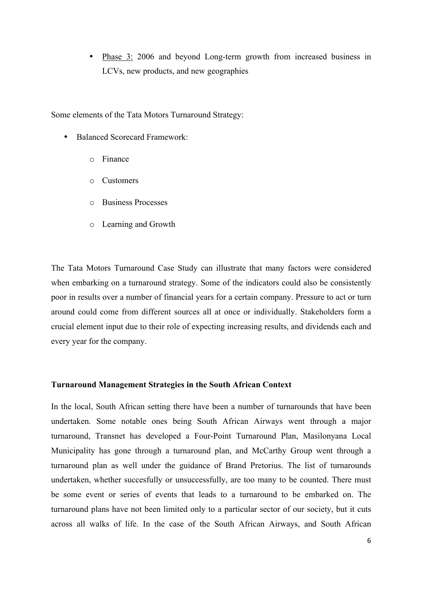• Phase 3: 2006 and beyond Long-term growth from increased business in LCVs, new products, and new geographies

Some elements of the Tata Motors Turnaround Strategy:

- Balanced Scorecard Framework:
	- o Finance
	- o Customers
	- o Business Processes
	- o Learning and Growth

The Tata Motors Turnaround Case Study can illustrate that many factors were considered when embarking on a turnaround strategy. Some of the indicators could also be consistently poor in results over a number of financial years for a certain company. Pressure to act or turn around could come from different sources all at once or individually. Stakeholders form a crucial element input due to their role of expecting increasing results, and dividends each and every year for the company.

## **Turnaround Management Strategies in the South African Context**

In the local, South African setting there have been a number of turnarounds that have been undertaken. Some notable ones being South African Airways went through a major turnaround, Transnet has developed a Four-Point Turnaround Plan, Masilonyana Local Municipality has gone through a turnaround plan, and McCarthy Group went through a turnaround plan as well under the guidance of Brand Pretorius. The list of turnarounds undertaken, whether succesfully or unsuccessfully, are too many to be counted. There must be some event or series of events that leads to a turnaround to be embarked on. The turnaround plans have not been limited only to a particular sector of our society, but it cuts across all walks of life. In the case of the South African Airways, and South African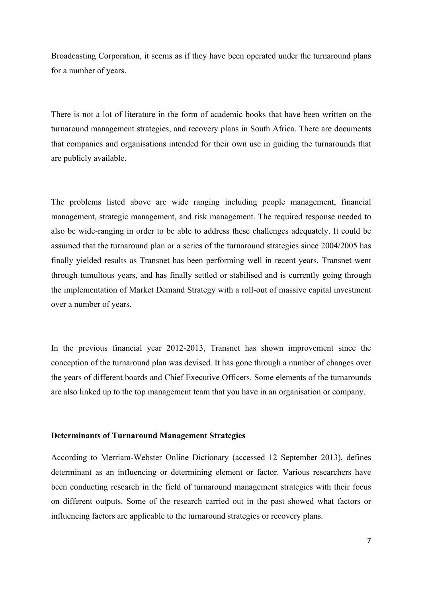Broadcasting Corporation, it seems as if they have been operated under the turnaround plans for a number of years.

There is not a lot of literature in the form of academic books that have been written on the turnaround management strategies, and recovery plans in South Africa. There are documents that companies and organisations intended for their own use in guiding the turnarounds that are publicly available.

The problems listed above are wide ranging including people management, financial management, strategic management, and risk management. The required response needed to also be wide-ranging in order to be able to address these challenges adequately. It could be assumed that the turnaround plan or a series of the turnaround strategies since 2004/2005 has finally yielded results as Transnet has been performing well in recent years. Transnet went through tumultous years, and has finally settled or stabilised and is currently going through the implementation of Market Demand Strategy with a roll-out of massive capital investment over a number of years.

In the previous financial year 2012-2013, Transnet has shown improvement since the conception of the turnaround plan was devised. It has gone through a number of changes over the years of different boards and Chief Executive Officers. Some elements of the turnarounds are also linked up to the top management team that you have in an organisation or company.

#### **Determinants of Turnaround Management Strategies**

According to Merriam-Webster Online Dictionary (accessed 12 September 2013), defines determinant as an influencing or determining element or factor. Various researchers have been conducting research in the field of turnaround management strategies with their focus on different outputs. Some of the research carried out in the past showed what factors or influencing factors are applicable to the turnaround strategies or recovery plans.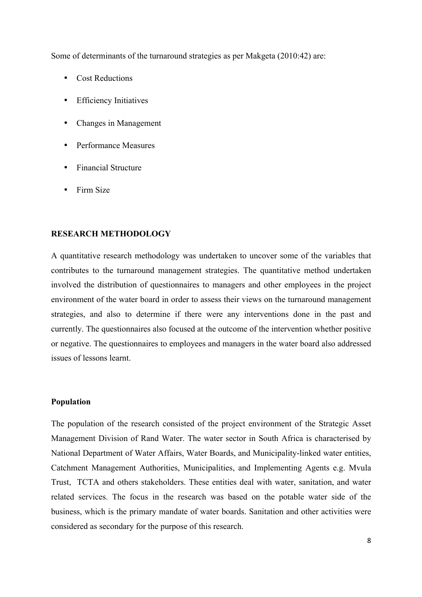Some of determinants of the turnaround strategies as per Makgeta (2010:42) are:

- Cost Reductions
- Efficiency Initiatives
- Changes in Management
- Performance Measures
- Financial Structure
- Firm Size

## **RESEARCH METHODOLOGY**

A quantitative research methodology was undertaken to uncover some of the variables that contributes to the turnaround management strategies. The quantitative method undertaken involved the distribution of questionnaires to managers and other employees in the project environment of the water board in order to assess their views on the turnaround management strategies, and also to determine if there were any interventions done in the past and currently. The questionnaires also focused at the outcome of the intervention whether positive or negative. The questionnaires to employees and managers in the water board also addressed issues of lessons learnt.

## **Population**

The population of the research consisted of the project environment of the Strategic Asset Management Division of Rand Water. The water sector in South Africa is characterised by National Department of Water Affairs, Water Boards, and Municipality-linked water entities, Catchment Management Authorities, Municipalities, and Implementing Agents e.g. Mvula Trust, TCTA and others stakeholders. These entities deal with water, sanitation, and water related services. The focus in the research was based on the potable water side of the business, which is the primary mandate of water boards. Sanitation and other activities were considered as secondary for the purpose of this research.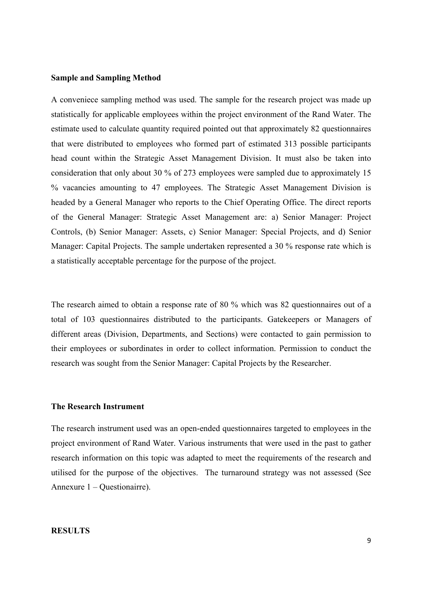#### **Sample and Sampling Method**

A conveniece sampling method was used. The sample for the research project was made up statistically for applicable employees within the project environment of the Rand Water. The estimate used to calculate quantity required pointed out that approximately 82 questionnaires that were distributed to employees who formed part of estimated 313 possible participants head count within the Strategic Asset Management Division. It must also be taken into consideration that only about 30 % of 273 employees were sampled due to approximately 15 % vacancies amounting to 47 employees. The Strategic Asset Management Division is headed by a General Manager who reports to the Chief Operating Office. The direct reports of the General Manager: Strategic Asset Management are: a) Senior Manager: Project Controls, (b) Senior Manager: Assets, c) Senior Manager: Special Projects, and d) Senior Manager: Capital Projects. The sample undertaken represented a 30 % response rate which is a statistically acceptable percentage for the purpose of the project.

The research aimed to obtain a response rate of 80 % which was 82 questionnaires out of a total of 103 questionnaires distributed to the participants. Gatekeepers or Managers of different areas (Division, Departments, and Sections) were contacted to gain permission to their employees or subordinates in order to collect information. Permission to conduct the research was sought from the Senior Manager: Capital Projects by the Researcher.

#### **The Research Instrument**

The research instrument used was an open-ended questionnaires targeted to employees in the project environment of Rand Water. Various instruments that were used in the past to gather research information on this topic was adapted to meet the requirements of the research and utilised for the purpose of the objectives. The turnaround strategy was not assessed (See Annexure 1 – Questionairre).

#### **RESULTS**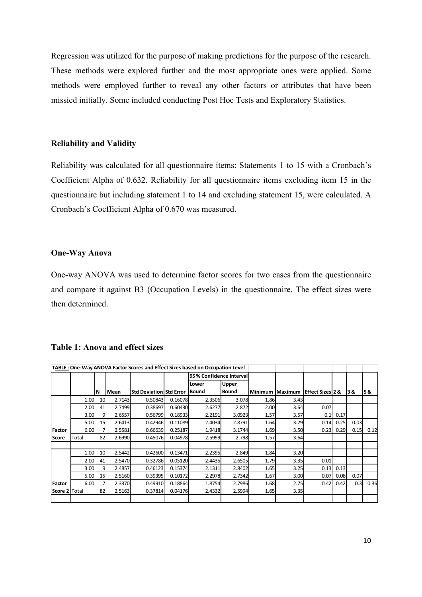Regression was utilized for the purpose of making predictions for the purpose of the research. These methods were explored further and the most appropriate ones were applied. Some methods were employed further to reveal any other factors or attributes that have been missied initially. Some included conducting Post Hoc Tests and Exploratory Statistics.

#### **Reliability and Validity**

Reliability was calculated for all questionnaire items: Statements 1 to 15 with a Cronbach's Coefficient Alpha of 0.632. Reliability for all questionnaire items excluding item 15 in the questionnaire but including statement 1 to 14 and excluding statement 15, were calculated. A Cronbach's Coefficient Alpha of 0.670 was measured.

#### **One-Way Anova**

One-way ANOVA was used to determine factor scores for two cases from the questionnaire and compare it against B3 (Occupation Levels) in the questionnaire. The effect sizes were then determined.

| TABLE: One-Way ANOVA Factor Scores and Effect Sizes based on Occupation Level |       |    |        |                                |         |                          |              |                 |      |                             |      |      |      |
|-------------------------------------------------------------------------------|-------|----|--------|--------------------------------|---------|--------------------------|--------------|-----------------|------|-----------------------------|------|------|------|
|                                                                               |       |    |        |                                |         | 95 % Confidence Interval |              |                 |      |                             |      |      |      |
|                                                                               |       |    |        |                                |         | Lower                    | Upper        |                 |      |                             |      |      |      |
|                                                                               |       | ΙN | Mean   | <b>Std Deviation Std Error</b> |         | <b>Bound</b>             | <b>Bound</b> | Minimum Maximum |      | <b>Effect Sizes 2 &amp;</b> |      | 38.  | 5&   |
|                                                                               | 1.00  | 10 | 2.7143 | 0.50843                        | 0.16078 | 2.3506                   | 3.078        | 1.86            | 3.43 |                             |      |      |      |
|                                                                               | 2.00  | 41 | 2.7499 | 0.38697                        | 0.60430 | 2.6277                   | 2.872        | 2.00            | 3.64 | 0.07                        |      |      |      |
|                                                                               | 3.00  | 9  | 2.6557 | 0.56799                        | 0.18933 | 2.2191                   | 3.0923       | 1.57            | 3.57 | 0.1                         | 0.17 |      |      |
|                                                                               | 5.00  | 15 | 2.6413 | 0.42946                        | 0.11089 | 2.4034                   | 2.8791       | 1.64            | 3.29 | 0.14                        | 0.25 | 0.03 |      |
| Factor                                                                        | 6.00  |    | 2.5581 | 0.66639                        | 0.25187 | 1.9418                   | 3.1744       | 1.69            | 3.50 | 0.23                        | 0.29 | 0.15 | 0.12 |
| Score                                                                         | Total | 82 | 2.6990 | 0.45076                        | 0.04978 | 2.5999                   | 2.798        | 1.57            | 3.64 |                             |      |      |      |
|                                                                               |       |    |        |                                |         |                          |              |                 |      |                             |      |      |      |
|                                                                               | 1.00  | 10 | 2.5442 | 0.42600                        | 0.13471 | 2.2395                   | 2.849        | 1.84            | 3.20 |                             |      |      |      |
|                                                                               | 2.00  | 41 | 2.5470 | 0.32786                        | 0.05120 | 2.4435                   | 2.6505       | 1.79            | 3.35 | 0.01                        |      |      |      |
|                                                                               | 3.00  | 9  | 2.4857 | 0.46123                        | 0.15374 | 2.1311                   | 2.8402       | 1.65            | 3.25 | 0.13                        | 0.13 |      |      |
|                                                                               | 5.00  | 15 | 2.5160 | 0.39395                        | 0.10172 | 2.2978                   | 2.7342       | 1.67            | 3.00 | 0.07                        | 0.08 | 0.07 |      |
| Factor                                                                        | 6.00  |    | 2.3370 | 0.49910                        | 0.18864 | 1.8754                   | 2.7986       | 1.68            | 2.75 | 0.42                        | 0.42 | 0.3  | 0.36 |
| Score 2 Total                                                                 |       | 82 | 2.5163 | 0.37814                        | 0.04176 | 2.4332                   | 2.5994       | 1.65            | 3.35 |                             |      |      |      |
|                                                                               |       |    |        |                                |         |                          |              |                 |      |                             |      |      |      |

#### **Table 1: Anova and effect sizes**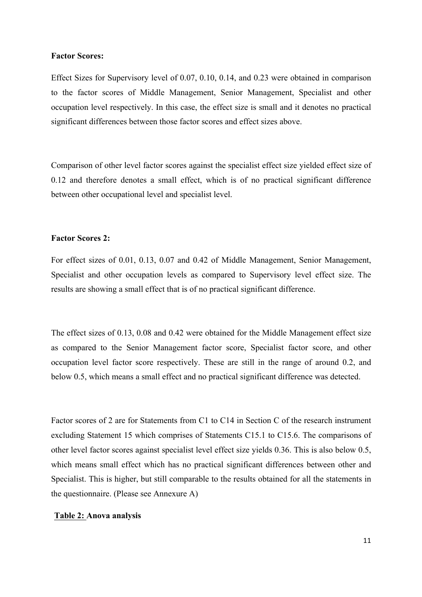#### **Factor Scores:**

Effect Sizes for Supervisory level of 0.07, 0.10, 0.14, and 0.23 were obtained in comparison to the factor scores of Middle Management, Senior Management, Specialist and other occupation level respectively. In this case, the effect size is small and it denotes no practical significant differences between those factor scores and effect sizes above.

Comparison of other level factor scores against the specialist effect size yielded effect size of 0.12 and therefore denotes a small effect, which is of no practical significant difference between other occupational level and specialist level.

#### **Factor Scores 2:**

For effect sizes of 0.01, 0.13, 0.07 and 0.42 of Middle Management, Senior Management, Specialist and other occupation levels as compared to Supervisory level effect size. The results are showing a small effect that is of no practical significant difference.

The effect sizes of 0.13, 0.08 and 0.42 were obtained for the Middle Management effect size as compared to the Senior Management factor score, Specialist factor score, and other occupation level factor score respectively. These are still in the range of around 0.2, and below 0.5, which means a small effect and no practical significant difference was detected.

Factor scores of 2 are for Statements from C1 to C14 in Section C of the research instrument excluding Statement 15 which comprises of Statements C15.1 to C15.6. The comparisons of other level factor scores against specialist level effect size yields 0.36. This is also below 0.5, which means small effect which has no practical significant differences between other and Specialist. This is higher, but still comparable to the results obtained for all the statements in the questionnaire. (Please see Annexure A)

## **Table 2: Anova analysis**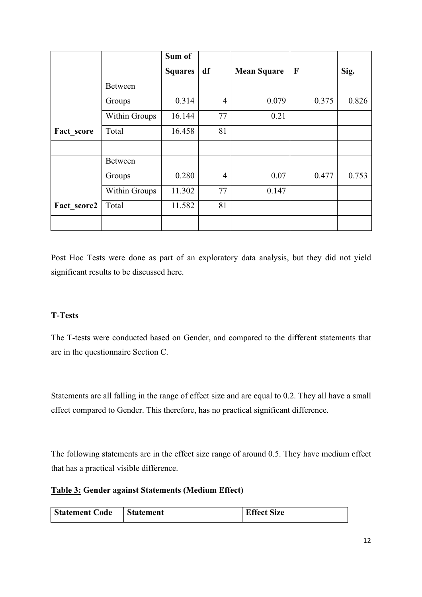|             |                | Sum of         |                |                    |       |       |
|-------------|----------------|----------------|----------------|--------------------|-------|-------|
|             |                | <b>Squares</b> | df             | <b>Mean Square</b> | F     | Sig.  |
|             | <b>Between</b> |                |                |                    |       |       |
|             | Groups         | 0.314          | $\overline{4}$ | 0.079              | 0.375 | 0.826 |
|             | Within Groups  | 16.144         | 77             | 0.21               |       |       |
| Fact score  | Total          | 16.458         | 81             |                    |       |       |
|             |                |                |                |                    |       |       |
|             | <b>Between</b> |                |                |                    |       |       |
|             | Groups         | 0.280          | $\overline{4}$ | 0.07               | 0.477 | 0.753 |
|             | Within Groups  | 11.302         | 77             | 0.147              |       |       |
| Fact score2 | Total          | 11.582         | 81             |                    |       |       |
|             |                |                |                |                    |       |       |

Post Hoc Tests were done as part of an exploratory data analysis, but they did not yield significant results to be discussed here.

# **T-Tests**

The T-tests were conducted based on Gender, and compared to the different statements that are in the questionnaire Section C.

Statements are all falling in the range of effect size and are equal to 0.2. They all have a small effect compared to Gender. This therefore, has no practical significant difference.

The following statements are in the effect size range of around 0.5. They have medium effect that has a practical visible difference.

## **Table 3: Gender against Statements (Medium Effect)**

| <b>Statement Code</b> | Statement | <b>Effect Size</b> |
|-----------------------|-----------|--------------------|
|                       |           |                    |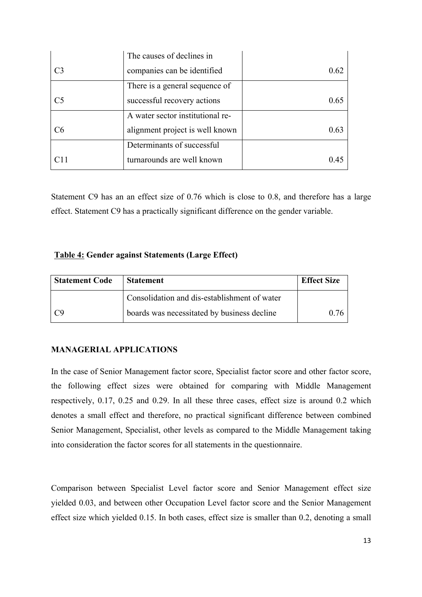|                | The causes of declines in        |      |
|----------------|----------------------------------|------|
| C <sub>3</sub> | companies can be identified      | 0.62 |
|                | There is a general sequence of   |      |
| C <sub>5</sub> | successful recovery actions      | 0.65 |
|                | A water sector institutional re- |      |
| C6             | alignment project is well known  | 0.63 |
|                | Determinants of successful       |      |
|                | turnarounds are well known       | (14) |

Statement C9 has an an effect size of 0.76 which is close to 0.8, and therefore has a large effect. Statement C9 has a practically significant difference on the gender variable.

## **Table 4: Gender against Statements (Large Effect)**

| Statement Code | <b>Statement</b>                             | <b>Effect Size</b> |
|----------------|----------------------------------------------|--------------------|
|                | Consolidation and dis-establishment of water |                    |
| l C9           | boards was necessitated by business decline  | 076                |

## **MANAGERIAL APPLICATIONS**

In the case of Senior Management factor score, Specialist factor score and other factor score, the following effect sizes were obtained for comparing with Middle Management respectively, 0.17, 0.25 and 0.29. In all these three cases, effect size is around 0.2 which denotes a small effect and therefore, no practical significant difference between combined Senior Management, Specialist, other levels as compared to the Middle Management taking into consideration the factor scores for all statements in the questionnaire.

Comparison between Specialist Level factor score and Senior Management effect size yielded 0.03, and between other Occupation Level factor score and the Senior Management effect size which yielded 0.15. In both cases, effect size is smaller than 0.2, denoting a small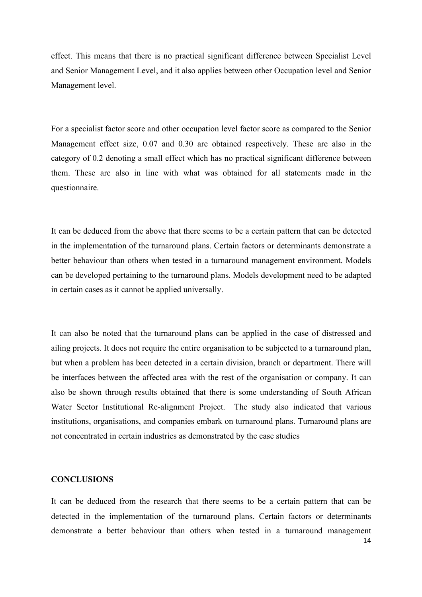effect. This means that there is no practical significant difference between Specialist Level and Senior Management Level, and it also applies between other Occupation level and Senior Management level.

For a specialist factor score and other occupation level factor score as compared to the Senior Management effect size, 0.07 and 0.30 are obtained respectively. These are also in the category of 0.2 denoting a small effect which has no practical significant difference between them. These are also in line with what was obtained for all statements made in the questionnaire.

It can be deduced from the above that there seems to be a certain pattern that can be detected in the implementation of the turnaround plans. Certain factors or determinants demonstrate a better behaviour than others when tested in a turnaround management environment. Models can be developed pertaining to the turnaround plans. Models development need to be adapted in certain cases as it cannot be applied universally.

It can also be noted that the turnaround plans can be applied in the case of distressed and ailing projects. It does not require the entire organisation to be subjected to a turnaround plan, but when a problem has been detected in a certain division, branch or department. There will be interfaces between the affected area with the rest of the organisation or company. It can also be shown through results obtained that there is some understanding of South African Water Sector Institutional Re-alignment Project. The study also indicated that various institutions, organisations, and companies embark on turnaround plans. Turnaround plans are not concentrated in certain industries as demonstrated by the case studies

## **CONCLUSIONS**

It can be deduced from the research that there seems to be a certain pattern that can be detected in the implementation of the turnaround plans. Certain factors or determinants demonstrate a better behaviour than others when tested in a turnaround management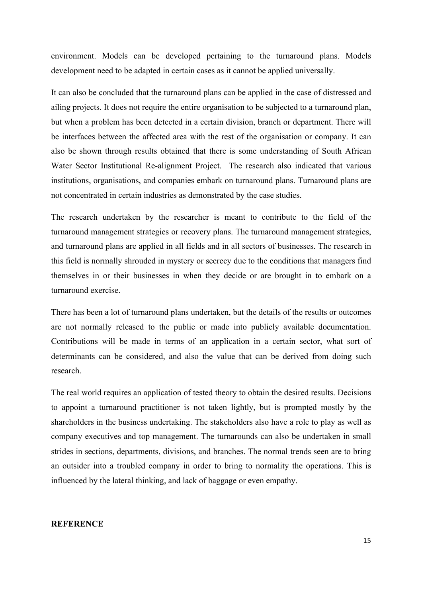environment. Models can be developed pertaining to the turnaround plans. Models development need to be adapted in certain cases as it cannot be applied universally.

It can also be concluded that the turnaround plans can be applied in the case of distressed and ailing projects. It does not require the entire organisation to be subjected to a turnaround plan, but when a problem has been detected in a certain division, branch or department. There will be interfaces between the affected area with the rest of the organisation or company. It can also be shown through results obtained that there is some understanding of South African Water Sector Institutional Re-alignment Project. The research also indicated that various institutions, organisations, and companies embark on turnaround plans. Turnaround plans are not concentrated in certain industries as demonstrated by the case studies.

The research undertaken by the researcher is meant to contribute to the field of the turnaround management strategies or recovery plans. The turnaround management strategies, and turnaround plans are applied in all fields and in all sectors of businesses. The research in this field is normally shrouded in mystery or secrecy due to the conditions that managers find themselves in or their businesses in when they decide or are brought in to embark on a turnaround exercise.

There has been a lot of turnaround plans undertaken, but the details of the results or outcomes are not normally released to the public or made into publicly available documentation. Contributions will be made in terms of an application in a certain sector, what sort of determinants can be considered, and also the value that can be derived from doing such research.

The real world requires an application of tested theory to obtain the desired results. Decisions to appoint a turnaround practitioner is not taken lightly, but is prompted mostly by the shareholders in the business undertaking. The stakeholders also have a role to play as well as company executives and top management. The turnarounds can also be undertaken in small strides in sections, departments, divisions, and branches. The normal trends seen are to bring an outsider into a troubled company in order to bring to normality the operations. This is influenced by the lateral thinking, and lack of baggage or even empathy.

## **REFERENCE**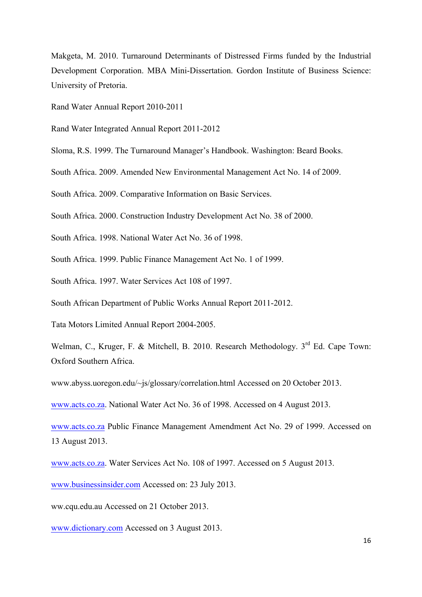Makgeta, M. 2010. Turnaround Determinants of Distressed Firms funded by the Industrial Development Corporation. MBA Mini-Dissertation. Gordon Institute of Business Science: University of Pretoria.

Rand Water Annual Report 2010-2011

Rand Water Integrated Annual Report 2011-2012

Sloma, R.S. 1999. The Turnaround Manager's Handbook. Washington: Beard Books.

South Africa. 2009. Amended New Environmental Management Act No. 14 of 2009.

South Africa. 2009. Comparative Information on Basic Services.

South Africa. 2000. Construction Industry Development Act No. 38 of 2000.

South Africa. 1998. National Water Act No. 36 of 1998.

South Africa. 1999. Public Finance Management Act No. 1 of 1999.

South Africa. 1997. Water Services Act 108 of 1997.

South African Department of Public Works Annual Report 2011-2012.

Tata Motors Limited Annual Report 2004-2005.

Welman, C., Kruger, F. & Mitchell, B. 2010. Research Methodology. 3<sup>rd</sup> Ed. Cape Town: Oxford Southern Africa.

www.abyss.uoregon.edu/~js/glossary/correlation.html Accessed on 20 October 2013.

www.acts.co.za. National Water Act No. 36 of 1998. Accessed on 4 August 2013.

www.acts.co.za Public Finance Management Amendment Act No. 29 of 1999. Accessed on 13 August 2013.

www.acts.co.za. Water Services Act No. 108 of 1997. Accessed on 5 August 2013.

www.businessinsider.com Accessed on: 23 July 2013.

ww.cqu.edu.au Accessed on 21 October 2013.

www.dictionary.com Accessed on 3 August 2013.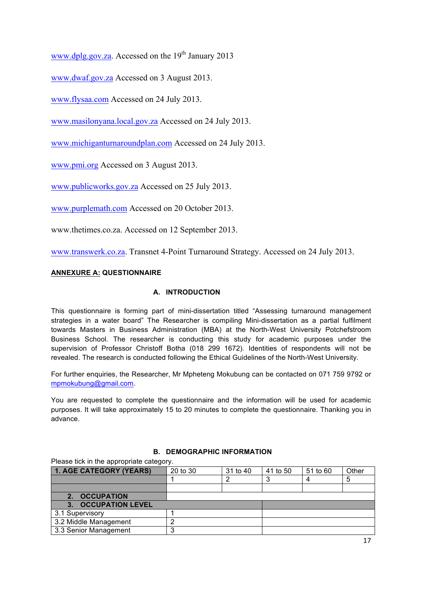www.dplg.gov.za. Accessed on the  $19<sup>th</sup>$  January 2013

www.dwaf.gov.za Accessed on 3 August 2013.

www.flysaa.com Accessed on 24 July 2013.

www.masilonyana.local.gov.za Accessed on 24 July 2013.

www.michiganturnaroundplan.com Accessed on 24 July 2013.

www.pmi.org Accessed on 3 August 2013.

www.publicworks.gov.za Accessed on 25 July 2013.

www.purplemath.com Accessed on 20 October 2013.

www.thetimes.co.za. Accessed on 12 September 2013.

www.transwerk.co.za. Transnet 4-Point Turnaround Strategy. Accessed on 24 July 2013.

## **ANNEXURE A: QUESTIONNAIRE**

## **A. INTRODUCTION**

This questionnaire is forming part of mini-dissertation titled "Assessing turnaround management strategies in a water board" The Researcher is compiling Mini-dissertation as a partial fulfilment towards Masters in Business Administration (MBA) at the North-West University Potchefstroom Business School. The researcher is conducting this study for academic purposes under the supervision of Professor Christoff Botha (018 299 1672). Identities of respondents will not be revealed. The research is conducted following the Ethical Guidelines of the North-West University.

For further enquiries, the Researcher, Mr Mpheteng Mokubung can be contacted on 071 759 9792 or mpmokubung@gmail.com.

You are requested to complete the questionnaire and the information will be used for academic purposes. It will take approximately 15 to 20 minutes to complete the questionnaire. Thanking you in advance.

## **B. DEMOGRAPHIC INFORMATION**

Please tick in the appropriate category.

| <b>1. AGE CATEGORY (YEARS)</b>     | 20 to 30 | 31 to 40 | 41 to 50 | 51 to 60 | Other |
|------------------------------------|----------|----------|----------|----------|-------|
|                                    |          |          |          |          | 5     |
|                                    |          |          |          |          |       |
| 2. OCCUPATION                      |          |          |          |          |       |
| <b>OCCUPATION LEVEL</b><br>$3_{-}$ |          |          |          |          |       |
| 3.1 Supervisory                    |          |          |          |          |       |
| 3.2 Middle Management              |          |          |          |          |       |
| 3.3 Senior Management              |          |          |          |          |       |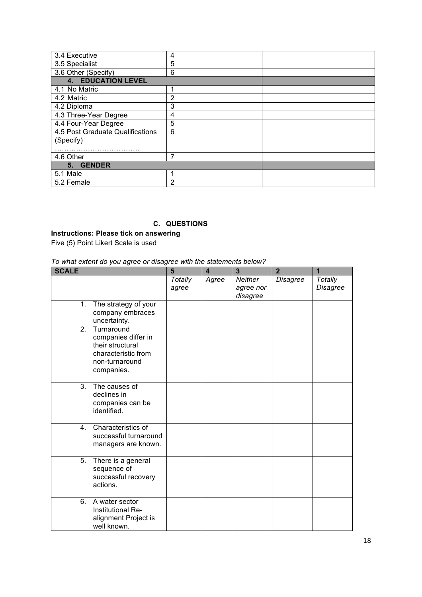| 3.4 Executive                                 | 4 |  |
|-----------------------------------------------|---|--|
| 3.5 Specialist                                | 5 |  |
| 3.6 Other (Specify)                           | 6 |  |
| <b>4. EDUCATION LEVEL</b>                     |   |  |
| 4.1 No Matric                                 |   |  |
| 4.2 Matric                                    | 2 |  |
| 4.2 Diploma                                   | 3 |  |
| 4.3 Three-Year Degree                         | 4 |  |
| 4.4 Four-Year Degree                          | 5 |  |
| 4.5 Post Graduate Qualifications<br>(Specify) | 6 |  |
|                                               | 7 |  |
| 4.6 Other                                     |   |  |
| 5. GENDER                                     |   |  |
| 5.1 Male                                      |   |  |
| 5.2 Female                                    | 2 |  |

# **C. QUESTIONS**

**Instructions: Please tick on answering** Five (5) Point Likert Scale is used

### *To what extent do you agree or disagree with the statements below?*

| <b>SCALE</b>     |                                                                                                              | $5\phantom{1}$   | $\overline{\mathbf{4}}$ | $\overline{\mathbf{3}}$                 | $\overline{2}$ | 1                   |
|------------------|--------------------------------------------------------------------------------------------------------------|------------------|-------------------------|-----------------------------------------|----------------|---------------------|
|                  |                                                                                                              | Totally<br>agree | Agree                   | <b>Neither</b><br>agree nor<br>disagree | Disagree       | Totally<br>Disagree |
| 1.               | The strategy of your<br>company embraces<br>uncertainty.                                                     |                  |                         |                                         |                |                     |
| 2.               | Turnaround<br>companies differ in<br>their structural<br>characteristic from<br>non-turnaround<br>companies. |                  |                         |                                         |                |                     |
| $\overline{3}$ . | The causes of<br>declines in<br>companies can be<br>identified.                                              |                  |                         |                                         |                |                     |
| 4 <sup>1</sup>   | Characteristics of<br>successful turnaround<br>managers are known.                                           |                  |                         |                                         |                |                     |
| 5.               | There is a general<br>sequence of<br>successful recovery<br>actions.                                         |                  |                         |                                         |                |                     |
| 6.               | A water sector<br>Institutional Re-<br>alignment Project is<br>well known.                                   |                  |                         |                                         |                |                     |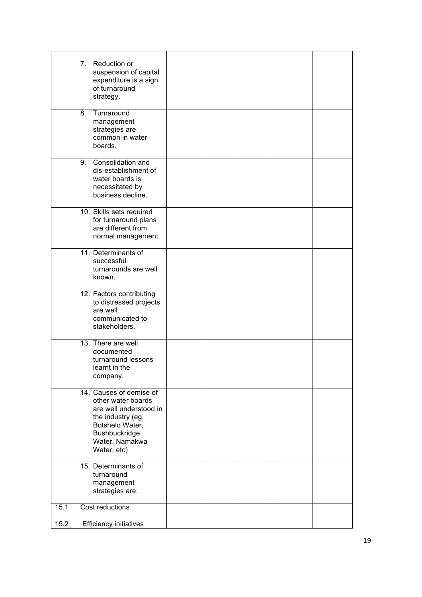| 7. Reduction or                              |  |  |  |
|----------------------------------------------|--|--|--|
| suspension of capital                        |  |  |  |
| expenditure is a sign                        |  |  |  |
| of turnaround                                |  |  |  |
| strategy.                                    |  |  |  |
| 8.<br>Turnaround                             |  |  |  |
| management                                   |  |  |  |
| strategies are                               |  |  |  |
| common in water                              |  |  |  |
| boards.                                      |  |  |  |
| Consolidation and<br>9.                      |  |  |  |
| dis-establishment of                         |  |  |  |
| water boards is                              |  |  |  |
| necessitated by<br>business decline.         |  |  |  |
|                                              |  |  |  |
| 10. Skills sets required                     |  |  |  |
| for turnaround plans<br>are different from   |  |  |  |
| normal management.                           |  |  |  |
|                                              |  |  |  |
| 11. Determinants of                          |  |  |  |
| successful                                   |  |  |  |
| turnarounds are well<br>known.               |  |  |  |
|                                              |  |  |  |
| 12. Factors contributing                     |  |  |  |
| to distressed projects                       |  |  |  |
| are well                                     |  |  |  |
| communicated to<br>stakeholders.             |  |  |  |
|                                              |  |  |  |
| 13. There are well                           |  |  |  |
| documented                                   |  |  |  |
| turnaround lessons<br>learnt in the          |  |  |  |
| company.                                     |  |  |  |
|                                              |  |  |  |
| 14. Causes of demise of                      |  |  |  |
| other water boards<br>are well understood in |  |  |  |
| the industry (eg.                            |  |  |  |
| Botshelo Water,                              |  |  |  |
| Bushbuckridge                                |  |  |  |
| Water, Namakwa                               |  |  |  |
| Water, etc)                                  |  |  |  |
| 15. Determinants of                          |  |  |  |
| turnaround                                   |  |  |  |
| management                                   |  |  |  |
| strategies are:                              |  |  |  |
| 15.1<br>Cost reductions                      |  |  |  |
| 15.2<br><b>Efficiency initiatives</b>        |  |  |  |